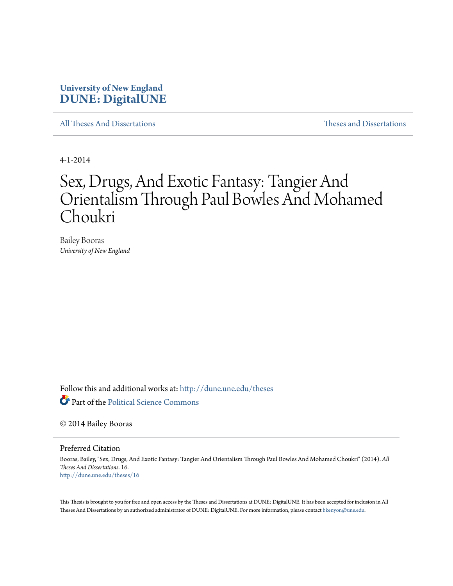## **University of New England [DUNE: DigitalUNE](http://dune.une.edu?utm_source=dune.une.edu%2Ftheses%2F16&utm_medium=PDF&utm_campaign=PDFCoverPages)**

[All Theses And Dissertations](http://dune.une.edu/theses?utm_source=dune.une.edu%2Ftheses%2F16&utm_medium=PDF&utm_campaign=PDFCoverPages) [Theses and Dissertations](http://dune.une.edu/theses_dissertations?utm_source=dune.une.edu%2Ftheses%2F16&utm_medium=PDF&utm_campaign=PDFCoverPages)

4-1-2014

# Sex, Drugs, And Exotic Fantasy: Tangier And Orientalism Through Paul Bowles And Mohamed Choukri

Bailey Booras *University of New England*

Follow this and additional works at: [http://dune.une.edu/theses](http://dune.une.edu/theses?utm_source=dune.une.edu%2Ftheses%2F16&utm_medium=PDF&utm_campaign=PDFCoverPages)

Part of the [Political Science Commons](http://network.bepress.com/hgg/discipline/386?utm_source=dune.une.edu%2Ftheses%2F16&utm_medium=PDF&utm_campaign=PDFCoverPages)

© 2014 Bailey Booras

Preferred Citation

Booras, Bailey, "Sex, Drugs, And Exotic Fantasy: Tangier And Orientalism Through Paul Bowles And Mohamed Choukri" (2014). *All Theses And Dissertations*. 16. [http://dune.une.edu/theses/16](http://dune.une.edu/theses/16?utm_source=dune.une.edu%2Ftheses%2F16&utm_medium=PDF&utm_campaign=PDFCoverPages)

This Thesis is brought to you for free and open access by the Theses and Dissertations at DUNE: DigitalUNE. It has been accepted for inclusion in All Theses And Dissertations by an authorized administrator of DUNE: DigitalUNE. For more information, please contact [bkenyon@une.edu.](mailto:bkenyon@une.edu)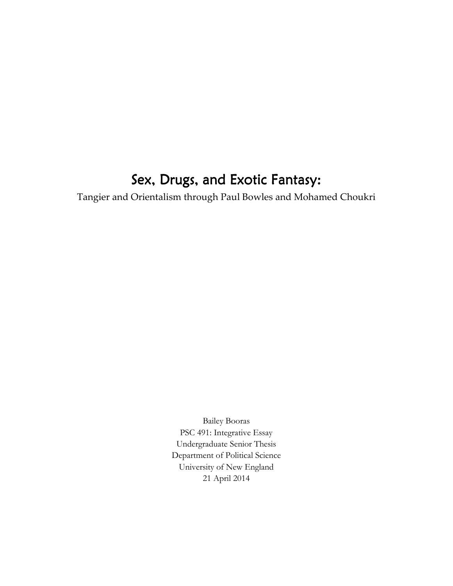## Sex, Drugs, and Exotic Fantasy:

Tangier and Orientalism through Paul Bowles and Mohamed Choukri

Bailey Booras PSC 491: Integrative Essay Undergraduate Senior Thesis Department of Political Science University of New England 21 April 2014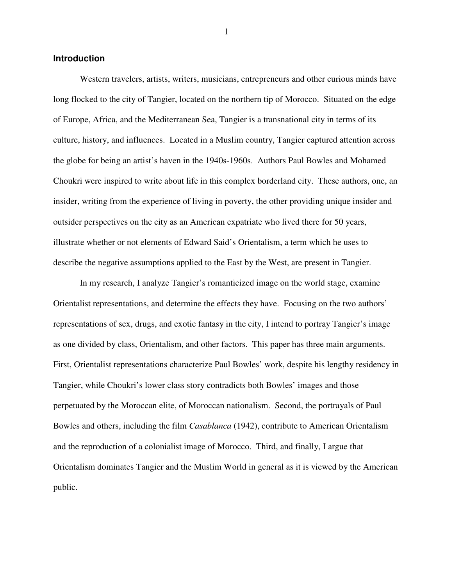#### **Introduction**

Western travelers, artists, writers, musicians, entrepreneurs and other curious minds have long flocked to the city of Tangier, located on the northern tip of Morocco. Situated on the edge of Europe, Africa, and the Mediterranean Sea, Tangier is a transnational city in terms of its culture, history, and influences. Located in a Muslim country, Tangier captured attention across the globe for being an artist's haven in the 1940s-1960s. Authors Paul Bowles and Mohamed Choukri were inspired to write about life in this complex borderland city. These authors, one, an insider, writing from the experience of living in poverty, the other providing unique insider and outsider perspectives on the city as an American expatriate who lived there for 50 years, illustrate whether or not elements of Edward Said's Orientalism, a term which he uses to describe the negative assumptions applied to the East by the West, are present in Tangier.

In my research, I analyze Tangier's romanticized image on the world stage, examine Orientalist representations, and determine the effects they have. Focusing on the two authors' representations of sex, drugs, and exotic fantasy in the city, I intend to portray Tangier's image as one divided by class, Orientalism, and other factors. This paper has three main arguments. First, Orientalist representations characterize Paul Bowles' work, despite his lengthy residency in Tangier, while Choukri's lower class story contradicts both Bowles' images and those perpetuated by the Moroccan elite, of Moroccan nationalism. Second, the portrayals of Paul Bowles and others, including the film *Casablanca* (1942), contribute to American Orientalism and the reproduction of a colonialist image of Morocco. Third, and finally, I argue that Orientalism dominates Tangier and the Muslim World in general as it is viewed by the American public.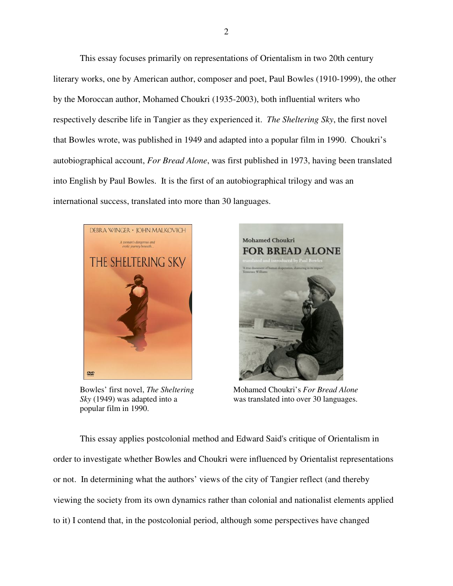This essay focuses primarily on representations of Orientalism in two 20th century literary works, one by American author, composer and poet, Paul Bowles (1910-1999), the other by the Moroccan author, Mohamed Choukri (1935-2003), both influential writers who respectively describe life in Tangier as they experienced it. *The Sheltering Sky*, the first novel that Bowles wrote, was published in 1949 and adapted into a popular film in 1990. Choukri's autobiographical account, *For Bread Alone*, was first published in 1973, having been translated into English by Paul Bowles. It is the first of an autobiographical trilogy and was an international success, translated into more than 30 languages.



popular film in 1990.



Bowles' first novel, *The Sheltering* Mohamed Choukri's *For Bread Alone Sky* (1949) was adapted into a was translated into over 30 languages.

This essay applies postcolonial method and Edward Said's critique of Orientalism in order to investigate whether Bowles and Choukri were influenced by Orientalist representations or not. In determining what the authors' views of the city of Tangier reflect (and thereby viewing the society from its own dynamics rather than colonial and nationalist elements applied to it) I contend that, in the postcolonial period, although some perspectives have changed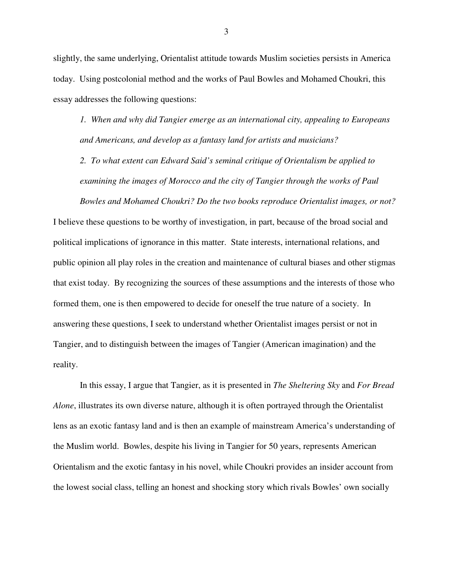slightly, the same underlying, Orientalist attitude towards Muslim societies persists in America today. Using postcolonial method and the works of Paul Bowles and Mohamed Choukri, this essay addresses the following questions:

*1. When and why did Tangier emerge as an international city, appealing to Europeans and Americans, and develop as a fantasy land for artists and musicians?* 

*2. To what extent can Edward Said's seminal critique of Orientalism be applied to examining the images of Morocco and the city of Tangier through the works of Paul* 

*Bowles and Mohamed Choukri? Do the two books reproduce Orientalist images, or not?*  I believe these questions to be worthy of investigation, in part, because of the broad social and political implications of ignorance in this matter. State interests, international relations, and public opinion all play roles in the creation and maintenance of cultural biases and other stigmas that exist today. By recognizing the sources of these assumptions and the interests of those who formed them, one is then empowered to decide for oneself the true nature of a society. In answering these questions, I seek to understand whether Orientalist images persist or not in Tangier, and to distinguish between the images of Tangier (American imagination) and the reality.

In this essay, I argue that Tangier, as it is presented in *The Sheltering Sky* and *For Bread Alone*, illustrates its own diverse nature, although it is often portrayed through the Orientalist lens as an exotic fantasy land and is then an example of mainstream America's understanding of the Muslim world. Bowles, despite his living in Tangier for 50 years, represents American Orientalism and the exotic fantasy in his novel, while Choukri provides an insider account from the lowest social class, telling an honest and shocking story which rivals Bowles' own socially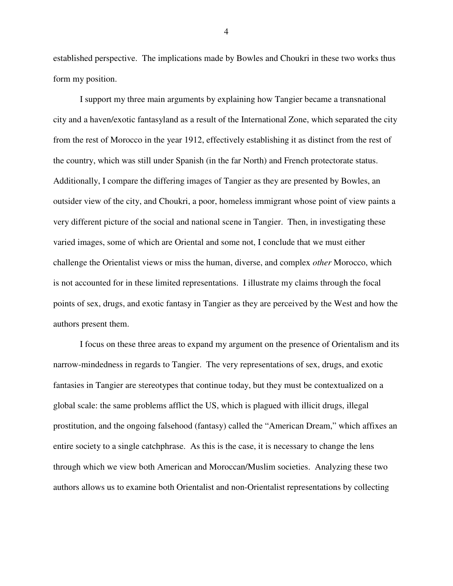established perspective. The implications made by Bowles and Choukri in these two works thus form my position.

I support my three main arguments by explaining how Tangier became a transnational city and a haven/exotic fantasyland as a result of the International Zone, which separated the city from the rest of Morocco in the year 1912, effectively establishing it as distinct from the rest of the country, which was still under Spanish (in the far North) and French protectorate status. Additionally, I compare the differing images of Tangier as they are presented by Bowles, an outsider view of the city, and Choukri, a poor, homeless immigrant whose point of view paints a very different picture of the social and national scene in Tangier. Then, in investigating these varied images, some of which are Oriental and some not, I conclude that we must either challenge the Orientalist views or miss the human, diverse, and complex *other* Morocco, which is not accounted for in these limited representations. I illustrate my claims through the focal points of sex, drugs, and exotic fantasy in Tangier as they are perceived by the West and how the authors present them.

I focus on these three areas to expand my argument on the presence of Orientalism and its narrow-mindedness in regards to Tangier. The very representations of sex, drugs, and exotic fantasies in Tangier are stereotypes that continue today, but they must be contextualized on a global scale: the same problems afflict the US, which is plagued with illicit drugs, illegal prostitution, and the ongoing falsehood (fantasy) called the "American Dream," which affixes an entire society to a single catchphrase. As this is the case, it is necessary to change the lens through which we view both American and Moroccan/Muslim societies. Analyzing these two authors allows us to examine both Orientalist and non-Orientalist representations by collecting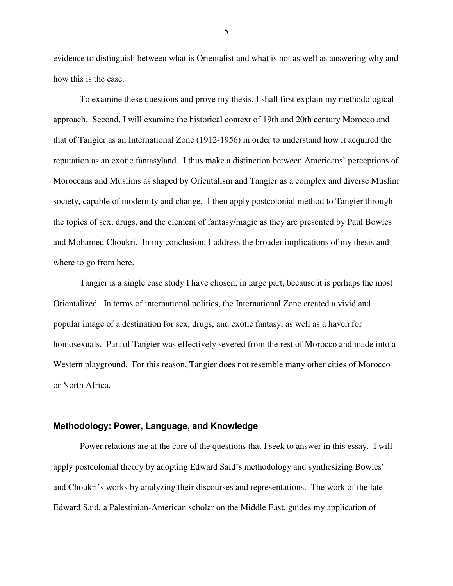evidence to distinguish between what is Orientalist and what is not as well as answering why and how this is the case.

To examine these questions and prove my thesis, I shall first explain my methodological approach. Second, I will examine the historical context of 19th and 20th century Morocco and that of Tangier as an International Zone (1912-1956) in order to understand how it acquired the reputation as an exotic fantasyland. I thus make a distinction between Americans' perceptions of Moroccans and Muslims as shaped by Orientalism and Tangier as a complex and diverse Muslim society, capable of modernity and change. I then apply postcolonial method to Tangier through the topics of sex, drugs, and the element of fantasy/magic as they are presented by Paul Bowles and Mohamed Choukri. In my conclusion, I address the broader implications of my thesis and where to go from here.

Tangier is a single case study I have chosen, in large part, because it is perhaps the most Orientalized. In terms of international politics, the International Zone created a vivid and popular image of a destination for sex, drugs, and exotic fantasy, as well as a haven for homosexuals. Part of Tangier was effectively severed from the rest of Morocco and made into a Western playground. For this reason, Tangier does not resemble many other cities of Morocco or North Africa.

#### **Methodology: Power, Language, and Knowledge**

Power relations are at the core of the questions that I seek to answer in this essay. I will apply postcolonial theory by adopting Edward Said's methodology and synthesizing Bowles' and Choukri's works by analyzing their discourses and representations. The work of the late Edward Said, a Palestinian-American scholar on the Middle East, guides my application of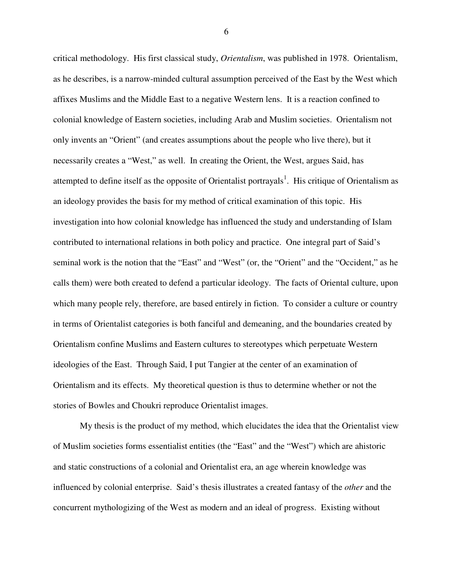critical methodology. His first classical study, *Orientalism*, was published in 1978. Orientalism, as he describes, is a narrow-minded cultural assumption perceived of the East by the West which affixes Muslims and the Middle East to a negative Western lens. It is a reaction confined to colonial knowledge of Eastern societies, including Arab and Muslim societies. Orientalism not only invents an "Orient" (and creates assumptions about the people who live there), but it necessarily creates a "West," as well. In creating the Orient, the West, argues Said, has attempted to define itself as the opposite of Orientalist portrayals<sup>1</sup>. His critique of Orientalism as an ideology provides the basis for my method of critical examination of this topic. His investigation into how colonial knowledge has influenced the study and understanding of Islam contributed to international relations in both policy and practice. One integral part of Said's seminal work is the notion that the "East" and "West" (or, the "Orient" and the "Occident," as he calls them) were both created to defend a particular ideology. The facts of Oriental culture, upon which many people rely, therefore, are based entirely in fiction. To consider a culture or country in terms of Orientalist categories is both fanciful and demeaning, and the boundaries created by Orientalism confine Muslims and Eastern cultures to stereotypes which perpetuate Western ideologies of the East. Through Said, I put Tangier at the center of an examination of Orientalism and its effects. My theoretical question is thus to determine whether or not the stories of Bowles and Choukri reproduce Orientalist images.

My thesis is the product of my method, which elucidates the idea that the Orientalist view of Muslim societies forms essentialist entities (the "East" and the "West") which are ahistoric and static constructions of a colonial and Orientalist era, an age wherein knowledge was influenced by colonial enterprise. Said's thesis illustrates a created fantasy of the *other* and the concurrent mythologizing of the West as modern and an ideal of progress. Existing without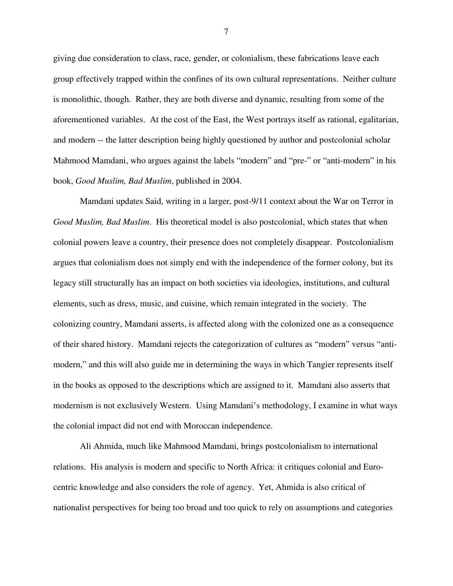giving due consideration to class, race, gender, or colonialism, these fabrications leave each group effectively trapped within the confines of its own cultural representations. Neither culture is monolithic, though. Rather, they are both diverse and dynamic, resulting from some of the aforementioned variables. At the cost of the East, the West portrays itself as rational, egalitarian, and modern -- the latter description being highly questioned by author and postcolonial scholar Mahmood Mamdani, who argues against the labels "modern" and "pre-" or "anti-modern" in his book, *Good Muslim, Bad Muslim*, published in 2004.

Mamdani updates Said, writing in a larger, post-9/11 context about the War on Terror in *Good Muslim, Bad Muslim*. His theoretical model is also postcolonial, which states that when colonial powers leave a country, their presence does not completely disappear. Postcolonialism argues that colonialism does not simply end with the independence of the former colony, but its legacy still structurally has an impact on both societies via ideologies, institutions, and cultural elements, such as dress, music, and cuisine, which remain integrated in the society. The colonizing country, Mamdani asserts, is affected along with the colonized one as a consequence of their shared history. Mamdani rejects the categorization of cultures as "modern" versus "antimodern," and this will also guide me in determining the ways in which Tangier represents itself in the books as opposed to the descriptions which are assigned to it. Mamdani also asserts that modernism is not exclusively Western. Using Mamdani's methodology, I examine in what ways the colonial impact did not end with Moroccan independence.

Ali Ahmida, much like Mahmood Mamdani, brings postcolonialism to international relations. His analysis is modern and specific to North Africa: it critiques colonial and Eurocentric knowledge and also considers the role of agency. Yet, Ahmida is also critical of nationalist perspectives for being too broad and too quick to rely on assumptions and categories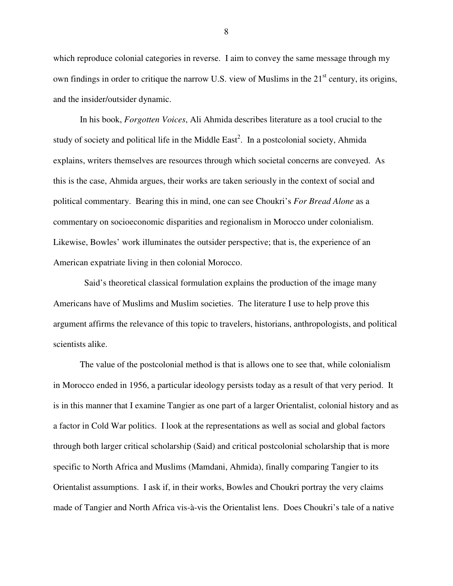which reproduce colonial categories in reverse. I aim to convey the same message through my own findings in order to critique the narrow U.S. view of Muslims in the 21<sup>st</sup> century, its origins, and the insider/outsider dynamic.

In his book, *Forgotten Voices*, Ali Ahmida describes literature as a tool crucial to the study of society and political life in the Middle  $East<sup>2</sup>$ . In a postcolonial society, Ahmida explains, writers themselves are resources through which societal concerns are conveyed. As this is the case, Ahmida argues, their works are taken seriously in the context of social and political commentary. Bearing this in mind, one can see Choukri's *For Bread Alone* as a commentary on socioeconomic disparities and regionalism in Morocco under colonialism. Likewise, Bowles' work illuminates the outsider perspective; that is, the experience of an American expatriate living in then colonial Morocco.

 Said's theoretical classical formulation explains the production of the image many Americans have of Muslims and Muslim societies. The literature I use to help prove this argument affirms the relevance of this topic to travelers, historians, anthropologists, and political scientists alike.

The value of the postcolonial method is that is allows one to see that, while colonialism in Morocco ended in 1956, a particular ideology persists today as a result of that very period. It is in this manner that I examine Tangier as one part of a larger Orientalist, colonial history and as a factor in Cold War politics. I look at the representations as well as social and global factors through both larger critical scholarship (Said) and critical postcolonial scholarship that is more specific to North Africa and Muslims (Mamdani, Ahmida), finally comparing Tangier to its Orientalist assumptions. I ask if, in their works, Bowles and Choukri portray the very claims made of Tangier and North Africa vis-à-vis the Orientalist lens. Does Choukri's tale of a native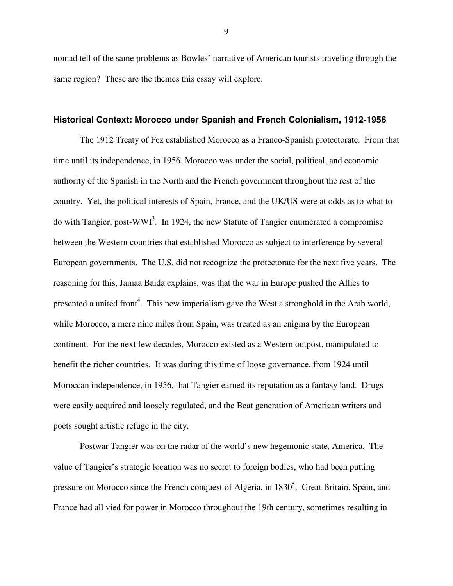nomad tell of the same problems as Bowles' narrative of American tourists traveling through the same region? These are the themes this essay will explore.

#### **Historical Context: Morocco under Spanish and French Colonialism, 1912-1956**

The 1912 Treaty of Fez established Morocco as a Franco-Spanish protectorate. From that time until its independence, in 1956, Morocco was under the social, political, and economic authority of the Spanish in the North and the French government throughout the rest of the country. Yet, the political interests of Spain, France, and the UK/US were at odds as to what to do with Tangier, post-WWI<sup>3</sup>. In 1924, the new Statute of Tangier enumerated a compromise between the Western countries that established Morocco as subject to interference by several European governments. The U.S. did not recognize the protectorate for the next five years. The reasoning for this, Jamaa Baida explains, was that the war in Europe pushed the Allies to presented a united front<sup>4</sup>. This new imperialism gave the West a stronghold in the Arab world, while Morocco, a mere nine miles from Spain, was treated as an enigma by the European continent. For the next few decades, Morocco existed as a Western outpost, manipulated to benefit the richer countries. It was during this time of loose governance, from 1924 until Moroccan independence, in 1956, that Tangier earned its reputation as a fantasy land. Drugs were easily acquired and loosely regulated, and the Beat generation of American writers and poets sought artistic refuge in the city.

Postwar Tangier was on the radar of the world's new hegemonic state, America. The value of Tangier's strategic location was no secret to foreign bodies, who had been putting pressure on Morocco since the French conquest of Algeria, in 1830<sup>5</sup>. Great Britain, Spain, and France had all vied for power in Morocco throughout the 19th century, sometimes resulting in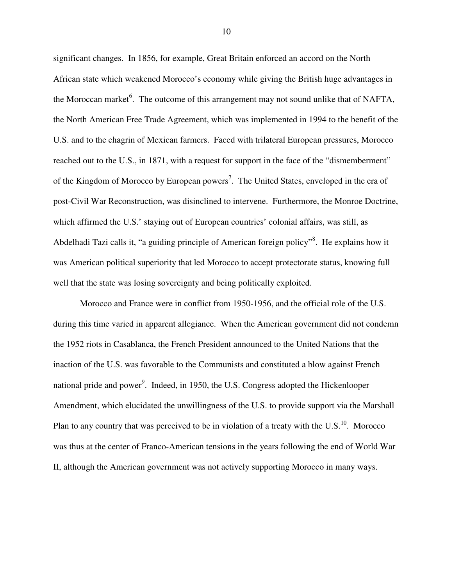significant changes. In 1856, for example, Great Britain enforced an accord on the North African state which weakened Morocco's economy while giving the British huge advantages in the Moroccan market<sup>6</sup>. The outcome of this arrangement may not sound unlike that of NAFTA, the North American Free Trade Agreement, which was implemented in 1994 to the benefit of the U.S. and to the chagrin of Mexican farmers. Faced with trilateral European pressures, Morocco reached out to the U.S., in 1871, with a request for support in the face of the "dismemberment" of the Kingdom of Morocco by European powers<sup>7</sup>. The United States, enveloped in the era of post-Civil War Reconstruction, was disinclined to intervene. Furthermore, the Monroe Doctrine, which affirmed the U.S.' staying out of European countries' colonial affairs, was still, as Abdelhadi Tazi calls it, "a guiding principle of American foreign policy"<sup>8</sup>. He explains how it was American political superiority that led Morocco to accept protectorate status, knowing full well that the state was losing sovereignty and being politically exploited.

Morocco and France were in conflict from 1950-1956, and the official role of the U.S. during this time varied in apparent allegiance. When the American government did not condemn the 1952 riots in Casablanca, the French President announced to the United Nations that the inaction of the U.S. was favorable to the Communists and constituted a blow against French national pride and power<sup>9</sup>. Indeed, in 1950, the U.S. Congress adopted the Hickenlooper Amendment, which elucidated the unwillingness of the U.S. to provide support via the Marshall Plan to any country that was perceived to be in violation of a treaty with the  $U.S.<sup>10</sup>$ . Morocco was thus at the center of Franco-American tensions in the years following the end of World War II, although the American government was not actively supporting Morocco in many ways.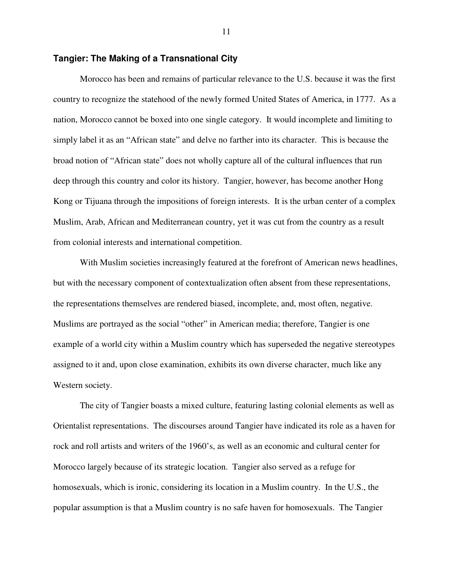#### **Tangier: The Making of a Transnational City**

Morocco has been and remains of particular relevance to the U.S. because it was the first country to recognize the statehood of the newly formed United States of America, in 1777. As a nation, Morocco cannot be boxed into one single category. It would incomplete and limiting to simply label it as an "African state" and delve no farther into its character. This is because the broad notion of "African state" does not wholly capture all of the cultural influences that run deep through this country and color its history. Tangier, however, has become another Hong Kong or Tijuana through the impositions of foreign interests. It is the urban center of a complex Muslim, Arab, African and Mediterranean country, yet it was cut from the country as a result from colonial interests and international competition.

With Muslim societies increasingly featured at the forefront of American news headlines, but with the necessary component of contextualization often absent from these representations, the representations themselves are rendered biased, incomplete, and, most often, negative. Muslims are portrayed as the social "other" in American media; therefore, Tangier is one example of a world city within a Muslim country which has superseded the negative stereotypes assigned to it and, upon close examination, exhibits its own diverse character, much like any Western society.

The city of Tangier boasts a mixed culture, featuring lasting colonial elements as well as Orientalist representations. The discourses around Tangier have indicated its role as a haven for rock and roll artists and writers of the 1960's, as well as an economic and cultural center for Morocco largely because of its strategic location. Tangier also served as a refuge for homosexuals, which is ironic, considering its location in a Muslim country. In the U.S., the popular assumption is that a Muslim country is no safe haven for homosexuals. The Tangier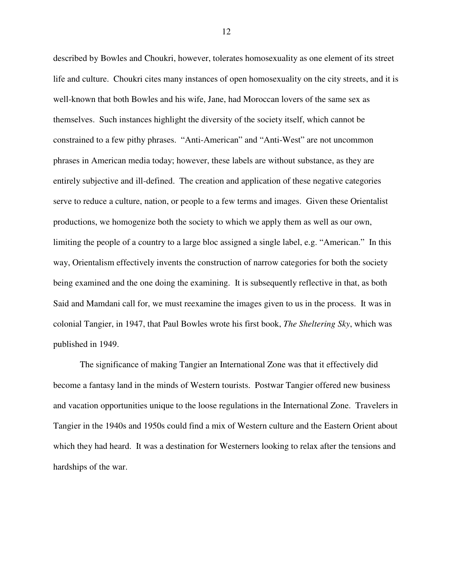described by Bowles and Choukri, however, tolerates homosexuality as one element of its street life and culture. Choukri cites many instances of open homosexuality on the city streets, and it is well-known that both Bowles and his wife, Jane, had Moroccan lovers of the same sex as themselves. Such instances highlight the diversity of the society itself, which cannot be constrained to a few pithy phrases. "Anti-American" and "Anti-West" are not uncommon phrases in American media today; however, these labels are without substance, as they are entirely subjective and ill-defined. The creation and application of these negative categories serve to reduce a culture, nation, or people to a few terms and images. Given these Orientalist productions, we homogenize both the society to which we apply them as well as our own, limiting the people of a country to a large bloc assigned a single label, e.g. "American." In this way, Orientalism effectively invents the construction of narrow categories for both the society being examined and the one doing the examining. It is subsequently reflective in that, as both Said and Mamdani call for, we must reexamine the images given to us in the process. It was in colonial Tangier, in 1947, that Paul Bowles wrote his first book, *The Sheltering Sky*, which was published in 1949.

The significance of making Tangier an International Zone was that it effectively did become a fantasy land in the minds of Western tourists. Postwar Tangier offered new business and vacation opportunities unique to the loose regulations in the International Zone. Travelers in Tangier in the 1940s and 1950s could find a mix of Western culture and the Eastern Orient about which they had heard. It was a destination for Westerners looking to relax after the tensions and hardships of the war.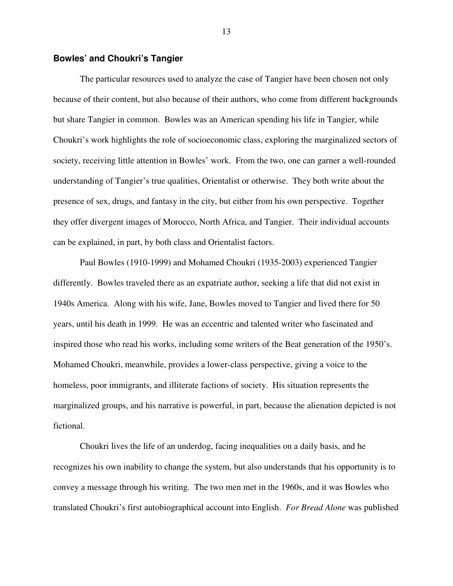#### **Bowles' and Choukri's Tangier**

The particular resources used to analyze the case of Tangier have been chosen not only because of their content, but also because of their authors, who come from different backgrounds but share Tangier in common. Bowles was an American spending his life in Tangier, while Choukri's work highlights the role of socioeconomic class, exploring the marginalized sectors of society, receiving little attention in Bowles' work. From the two, one can garner a well-rounded understanding of Tangier's true qualities, Orientalist or otherwise. They both write about the presence of sex, drugs, and fantasy in the city, but either from his own perspective. Together they offer divergent images of Morocco, North Africa, and Tangier. Their individual accounts can be explained, in part, by both class and Orientalist factors.

Paul Bowles (1910-1999) and Mohamed Choukri (1935-2003) experienced Tangier differently. Bowles traveled there as an expatriate author, seeking a life that did not exist in 1940s America. Along with his wife, Jane, Bowles moved to Tangier and lived there for 50 years, until his death in 1999. He was an eccentric and talented writer who fascinated and inspired those who read his works, including some writers of the Beat generation of the 1950's. Mohamed Choukri, meanwhile, provides a lower-class perspective, giving a voice to the homeless, poor immigrants, and illiterate factions of society. His situation represents the marginalized groups, and his narrative is powerful, in part, because the alienation depicted is not fictional.

Choukri lives the life of an underdog, facing inequalities on a daily basis, and he recognizes his own inability to change the system, but also understands that his opportunity is to convey a message through his writing. The two men met in the 1960s, and it was Bowles who translated Choukri's first autobiographical account into English. *For Bread Alone* was published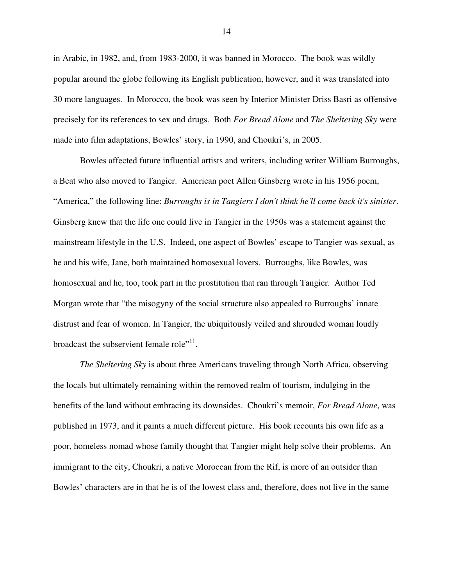in Arabic, in 1982, and, from 1983-2000, it was banned in Morocco. The book was wildly popular around the globe following its English publication, however, and it was translated into 30 more languages. In Morocco, the book was seen by Interior Minister Driss Basri as offensive precisely for its references to sex and drugs. Both *For Bread Alone* and *The Sheltering Sky* were made into film adaptations, Bowles' story, in 1990, and Choukri's, in 2005.

Bowles affected future influential artists and writers, including writer William Burroughs, a Beat who also moved to Tangier. American poet Allen Ginsberg wrote in his 1956 poem, "America," the following line: *Burroughs is in Tangiers I don't think he'll come back it's sinister*. Ginsberg knew that the life one could live in Tangier in the 1950s was a statement against the mainstream lifestyle in the U.S. Indeed, one aspect of Bowles' escape to Tangier was sexual, as he and his wife, Jane, both maintained homosexual lovers. Burroughs, like Bowles, was homosexual and he, too, took part in the prostitution that ran through Tangier. Author Ted Morgan wrote that "the misogyny of the social structure also appealed to Burroughs' innate distrust and fear of women. In Tangier, the ubiquitously veiled and shrouded woman loudly broadcast the subservient female role"<sup>11</sup>.

*The Sheltering Sky* is about three Americans traveling through North Africa, observing the locals but ultimately remaining within the removed realm of tourism, indulging in the benefits of the land without embracing its downsides. Choukri's memoir, *For Bread Alone*, was published in 1973, and it paints a much different picture. His book recounts his own life as a poor, homeless nomad whose family thought that Tangier might help solve their problems. An immigrant to the city, Choukri, a native Moroccan from the Rif, is more of an outsider than Bowles' characters are in that he is of the lowest class and, therefore, does not live in the same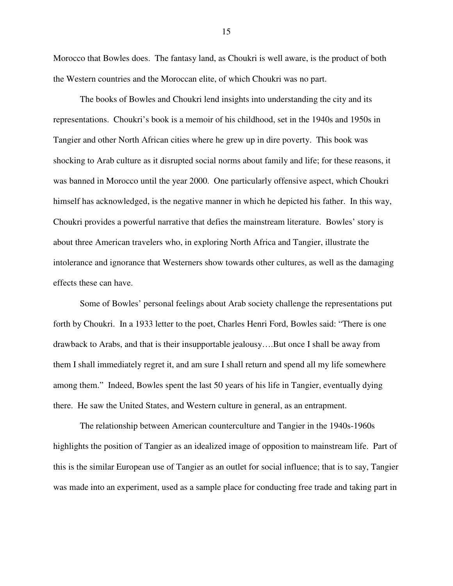Morocco that Bowles does. The fantasy land, as Choukri is well aware, is the product of both the Western countries and the Moroccan elite, of which Choukri was no part.

The books of Bowles and Choukri lend insights into understanding the city and its representations. Choukri's book is a memoir of his childhood, set in the 1940s and 1950s in Tangier and other North African cities where he grew up in dire poverty. This book was shocking to Arab culture as it disrupted social norms about family and life; for these reasons, it was banned in Morocco until the year 2000. One particularly offensive aspect, which Choukri himself has acknowledged, is the negative manner in which he depicted his father. In this way, Choukri provides a powerful narrative that defies the mainstream literature. Bowles' story is about three American travelers who, in exploring North Africa and Tangier, illustrate the intolerance and ignorance that Westerners show towards other cultures, as well as the damaging effects these can have.

Some of Bowles' personal feelings about Arab society challenge the representations put forth by Choukri. In a 1933 letter to the poet, Charles Henri Ford, Bowles said: "There is one drawback to Arabs, and that is their insupportable jealousy….But once I shall be away from them I shall immediately regret it, and am sure I shall return and spend all my life somewhere among them." Indeed, Bowles spent the last 50 years of his life in Tangier, eventually dying there. He saw the United States, and Western culture in general, as an entrapment.

The relationship between American counterculture and Tangier in the 1940s-1960s highlights the position of Tangier as an idealized image of opposition to mainstream life. Part of this is the similar European use of Tangier as an outlet for social influence; that is to say, Tangier was made into an experiment, used as a sample place for conducting free trade and taking part in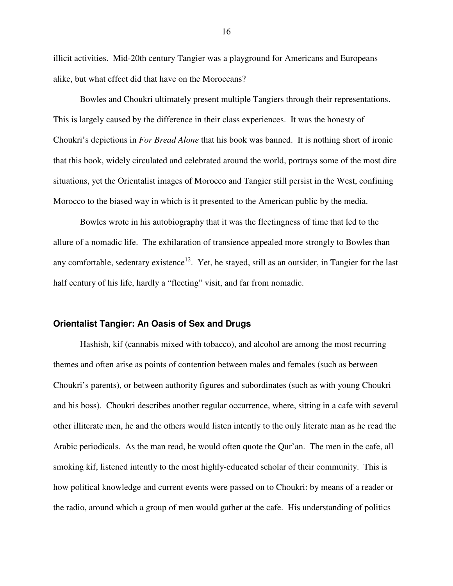illicit activities. Mid-20th century Tangier was a playground for Americans and Europeans alike, but what effect did that have on the Moroccans?

Bowles and Choukri ultimately present multiple Tangiers through their representations. This is largely caused by the difference in their class experiences. It was the honesty of Choukri's depictions in *For Bread Alone* that his book was banned. It is nothing short of ironic that this book, widely circulated and celebrated around the world, portrays some of the most dire situations, yet the Orientalist images of Morocco and Tangier still persist in the West, confining Morocco to the biased way in which is it presented to the American public by the media.

Bowles wrote in his autobiography that it was the fleetingness of time that led to the allure of a nomadic life. The exhilaration of transience appealed more strongly to Bowles than any comfortable, sedentary existence<sup>12</sup>. Yet, he stayed, still as an outsider, in Tangier for the last half century of his life, hardly a "fleeting" visit, and far from nomadic.

#### **Orientalist Tangier: An Oasis of Sex and Drugs**

Hashish, kif (cannabis mixed with tobacco), and alcohol are among the most recurring themes and often arise as points of contention between males and females (such as between Choukri's parents), or between authority figures and subordinates (such as with young Choukri and his boss). Choukri describes another regular occurrence, where, sitting in a cafe with several other illiterate men, he and the others would listen intently to the only literate man as he read the Arabic periodicals. As the man read, he would often quote the Qur'an. The men in the cafe, all smoking kif, listened intently to the most highly-educated scholar of their community. This is how political knowledge and current events were passed on to Choukri: by means of a reader or the radio, around which a group of men would gather at the cafe. His understanding of politics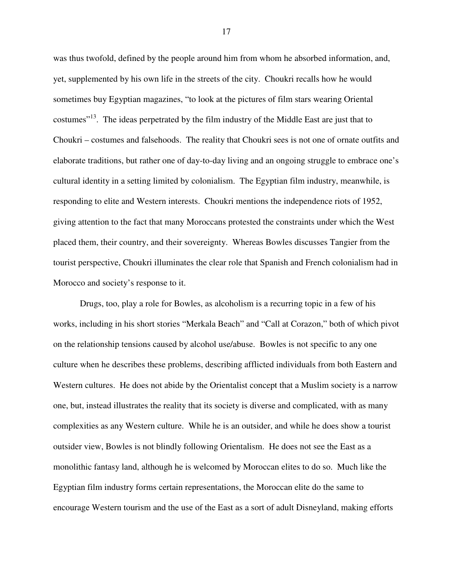was thus twofold, defined by the people around him from whom he absorbed information, and, yet, supplemented by his own life in the streets of the city. Choukri recalls how he would sometimes buy Egyptian magazines, "to look at the pictures of film stars wearing Oriental costumes<sup>"13</sup>. The ideas perpetrated by the film industry of the Middle East are just that to Choukri – costumes and falsehoods. The reality that Choukri sees is not one of ornate outfits and elaborate traditions, but rather one of day-to-day living and an ongoing struggle to embrace one's cultural identity in a setting limited by colonialism. The Egyptian film industry, meanwhile, is responding to elite and Western interests. Choukri mentions the independence riots of 1952, giving attention to the fact that many Moroccans protested the constraints under which the West placed them, their country, and their sovereignty. Whereas Bowles discusses Tangier from the tourist perspective, Choukri illuminates the clear role that Spanish and French colonialism had in Morocco and society's response to it.

Drugs, too, play a role for Bowles, as alcoholism is a recurring topic in a few of his works, including in his short stories "Merkala Beach" and "Call at Corazon," both of which pivot on the relationship tensions caused by alcohol use/abuse. Bowles is not specific to any one culture when he describes these problems, describing afflicted individuals from both Eastern and Western cultures. He does not abide by the Orientalist concept that a Muslim society is a narrow one, but, instead illustrates the reality that its society is diverse and complicated, with as many complexities as any Western culture. While he is an outsider, and while he does show a tourist outsider view, Bowles is not blindly following Orientalism. He does not see the East as a monolithic fantasy land, although he is welcomed by Moroccan elites to do so. Much like the Egyptian film industry forms certain representations, the Moroccan elite do the same to encourage Western tourism and the use of the East as a sort of adult Disneyland, making efforts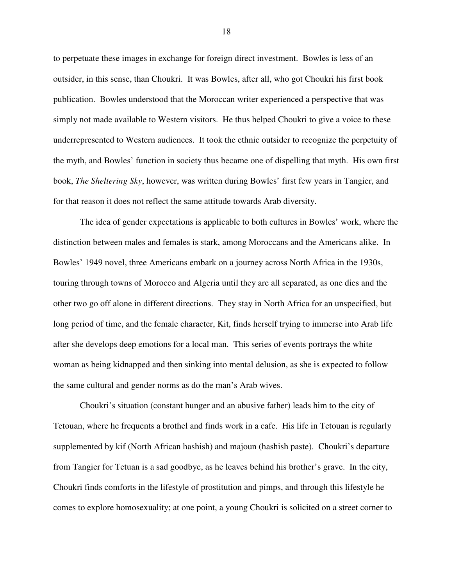to perpetuate these images in exchange for foreign direct investment. Bowles is less of an outsider, in this sense, than Choukri. It was Bowles, after all, who got Choukri his first book publication. Bowles understood that the Moroccan writer experienced a perspective that was simply not made available to Western visitors. He thus helped Choukri to give a voice to these underrepresented to Western audiences. It took the ethnic outsider to recognize the perpetuity of the myth, and Bowles' function in society thus became one of dispelling that myth. His own first book, *The Sheltering Sky*, however, was written during Bowles' first few years in Tangier, and for that reason it does not reflect the same attitude towards Arab diversity.

The idea of gender expectations is applicable to both cultures in Bowles' work, where the distinction between males and females is stark, among Moroccans and the Americans alike. In Bowles' 1949 novel, three Americans embark on a journey across North Africa in the 1930s, touring through towns of Morocco and Algeria until they are all separated, as one dies and the other two go off alone in different directions. They stay in North Africa for an unspecified, but long period of time, and the female character, Kit, finds herself trying to immerse into Arab life after she develops deep emotions for a local man. This series of events portrays the white woman as being kidnapped and then sinking into mental delusion, as she is expected to follow the same cultural and gender norms as do the man's Arab wives.

Choukri's situation (constant hunger and an abusive father) leads him to the city of Tetouan, where he frequents a brothel and finds work in a cafe. His life in Tetouan is regularly supplemented by kif (North African hashish) and majoun (hashish paste). Choukri's departure from Tangier for Tetuan is a sad goodbye, as he leaves behind his brother's grave. In the city, Choukri finds comforts in the lifestyle of prostitution and pimps, and through this lifestyle he comes to explore homosexuality; at one point, a young Choukri is solicited on a street corner to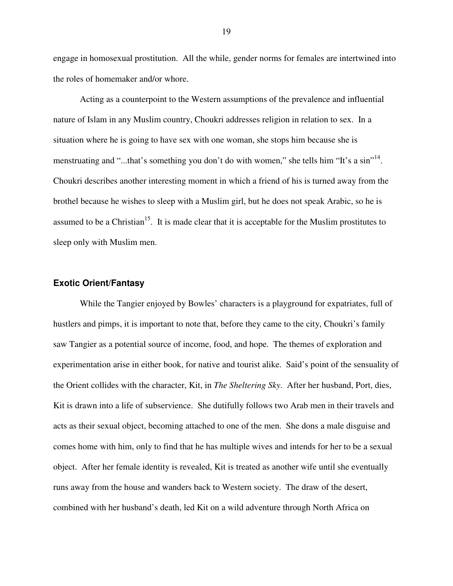engage in homosexual prostitution. All the while, gender norms for females are intertwined into the roles of homemaker and/or whore.

Acting as a counterpoint to the Western assumptions of the prevalence and influential nature of Islam in any Muslim country, Choukri addresses religion in relation to sex. In a situation where he is going to have sex with one woman, she stops him because she is menstruating and "...that's something you don't do with women," she tells him "It's a sin"<sup>14</sup>. Choukri describes another interesting moment in which a friend of his is turned away from the brothel because he wishes to sleep with a Muslim girl, but he does not speak Arabic, so he is assumed to be a Christian<sup>15</sup>. It is made clear that it is acceptable for the Muslim prostitutes to sleep only with Muslim men.

#### **Exotic Orient/Fantasy**

While the Tangier enjoyed by Bowles' characters is a playground for expatriates, full of hustlers and pimps, it is important to note that, before they came to the city, Choukri's family saw Tangier as a potential source of income, food, and hope. The themes of exploration and experimentation arise in either book, for native and tourist alike. Said's point of the sensuality of the Orient collides with the character, Kit, in *The Sheltering Sky*. After her husband, Port, dies, Kit is drawn into a life of subservience. She dutifully follows two Arab men in their travels and acts as their sexual object, becoming attached to one of the men. She dons a male disguise and comes home with him, only to find that he has multiple wives and intends for her to be a sexual object. After her female identity is revealed, Kit is treated as another wife until she eventually runs away from the house and wanders back to Western society. The draw of the desert, combined with her husband's death, led Kit on a wild adventure through North Africa on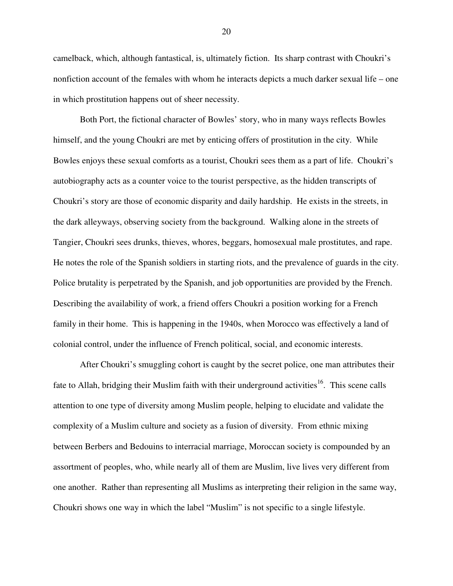camelback, which, although fantastical, is, ultimately fiction. Its sharp contrast with Choukri's nonfiction account of the females with whom he interacts depicts a much darker sexual life – one in which prostitution happens out of sheer necessity.

Both Port, the fictional character of Bowles' story, who in many ways reflects Bowles himself, and the young Choukri are met by enticing offers of prostitution in the city. While Bowles enjoys these sexual comforts as a tourist, Choukri sees them as a part of life. Choukri's autobiography acts as a counter voice to the tourist perspective, as the hidden transcripts of Choukri's story are those of economic disparity and daily hardship. He exists in the streets, in the dark alleyways, observing society from the background. Walking alone in the streets of Tangier, Choukri sees drunks, thieves, whores, beggars, homosexual male prostitutes, and rape. He notes the role of the Spanish soldiers in starting riots, and the prevalence of guards in the city. Police brutality is perpetrated by the Spanish, and job opportunities are provided by the French. Describing the availability of work, a friend offers Choukri a position working for a French family in their home. This is happening in the 1940s, when Morocco was effectively a land of colonial control, under the influence of French political, social, and economic interests.

After Choukri's smuggling cohort is caught by the secret police, one man attributes their fate to Allah, bridging their Muslim faith with their underground activities<sup>16</sup>. This scene calls attention to one type of diversity among Muslim people, helping to elucidate and validate the complexity of a Muslim culture and society as a fusion of diversity. From ethnic mixing between Berbers and Bedouins to interracial marriage, Moroccan society is compounded by an assortment of peoples, who, while nearly all of them are Muslim, live lives very different from one another. Rather than representing all Muslims as interpreting their religion in the same way, Choukri shows one way in which the label "Muslim" is not specific to a single lifestyle.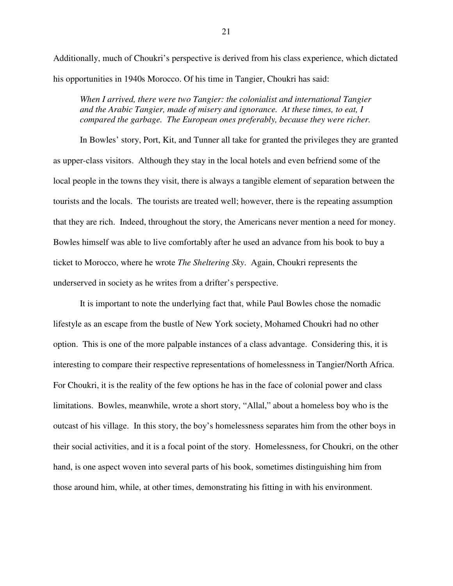Additionally, much of Choukri's perspective is derived from his class experience, which dictated his opportunities in 1940s Morocco. Of his time in Tangier, Choukri has said:

*When I arrived, there were two Tangier: the colonialist and international Tangier and the Arabic Tangier, made of misery and ignorance. At these times, to eat, I compared the garbage. The European ones preferably, because they were richer.* 

In Bowles' story, Port, Kit, and Tunner all take for granted the privileges they are granted as upper-class visitors. Although they stay in the local hotels and even befriend some of the local people in the towns they visit, there is always a tangible element of separation between the tourists and the locals. The tourists are treated well; however, there is the repeating assumption that they are rich. Indeed, throughout the story, the Americans never mention a need for money. Bowles himself was able to live comfortably after he used an advance from his book to buy a ticket to Morocco, where he wrote *The Sheltering Sky*. Again, Choukri represents the underserved in society as he writes from a drifter's perspective.

It is important to note the underlying fact that, while Paul Bowles chose the nomadic lifestyle as an escape from the bustle of New York society, Mohamed Choukri had no other option. This is one of the more palpable instances of a class advantage. Considering this, it is interesting to compare their respective representations of homelessness in Tangier/North Africa. For Choukri, it is the reality of the few options he has in the face of colonial power and class limitations. Bowles, meanwhile, wrote a short story, "Allal," about a homeless boy who is the outcast of his village. In this story, the boy's homelessness separates him from the other boys in their social activities, and it is a focal point of the story. Homelessness, for Choukri, on the other hand, is one aspect woven into several parts of his book, sometimes distinguishing him from those around him, while, at other times, demonstrating his fitting in with his environment.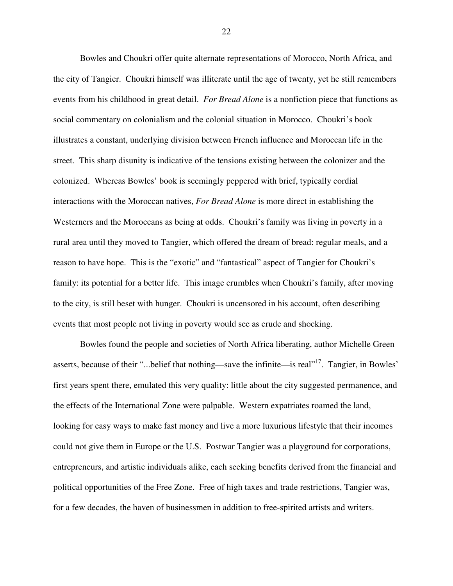Bowles and Choukri offer quite alternate representations of Morocco, North Africa, and the city of Tangier. Choukri himself was illiterate until the age of twenty, yet he still remembers events from his childhood in great detail. *For Bread Alone* is a nonfiction piece that functions as social commentary on colonialism and the colonial situation in Morocco. Choukri's book illustrates a constant, underlying division between French influence and Moroccan life in the street. This sharp disunity is indicative of the tensions existing between the colonizer and the colonized. Whereas Bowles' book is seemingly peppered with brief, typically cordial interactions with the Moroccan natives, *For Bread Alone* is more direct in establishing the Westerners and the Moroccans as being at odds. Choukri's family was living in poverty in a rural area until they moved to Tangier, which offered the dream of bread: regular meals, and a reason to have hope. This is the "exotic" and "fantastical" aspect of Tangier for Choukri's family: its potential for a better life. This image crumbles when Choukri's family, after moving to the city, is still beset with hunger. Choukri is uncensored in his account, often describing events that most people not living in poverty would see as crude and shocking.

Bowles found the people and societies of North Africa liberating, author Michelle Green asserts, because of their "...belief that nothing—save the infinite—is real"<sup>17</sup>. Tangier, in Bowles' first years spent there, emulated this very quality: little about the city suggested permanence, and the effects of the International Zone were palpable. Western expatriates roamed the land, looking for easy ways to make fast money and live a more luxurious lifestyle that their incomes could not give them in Europe or the U.S. Postwar Tangier was a playground for corporations, entrepreneurs, and artistic individuals alike, each seeking benefits derived from the financial and political opportunities of the Free Zone. Free of high taxes and trade restrictions, Tangier was, for a few decades, the haven of businessmen in addition to free-spirited artists and writers.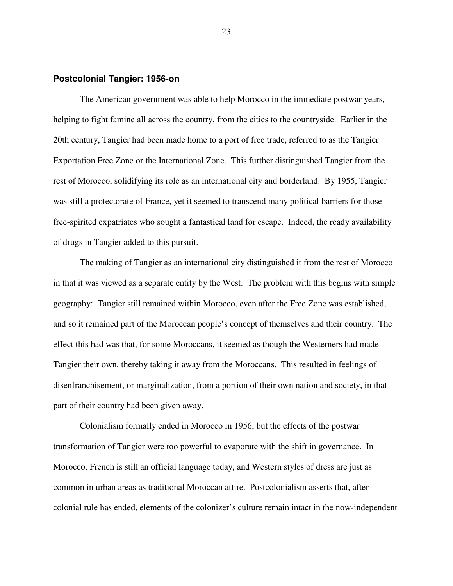#### **Postcolonial Tangier: 1956-on**

The American government was able to help Morocco in the immediate postwar years, helping to fight famine all across the country, from the cities to the countryside. Earlier in the 20th century, Tangier had been made home to a port of free trade, referred to as the Tangier Exportation Free Zone or the International Zone. This further distinguished Tangier from the rest of Morocco, solidifying its role as an international city and borderland. By 1955, Tangier was still a protectorate of France, yet it seemed to transcend many political barriers for those free-spirited expatriates who sought a fantastical land for escape. Indeed, the ready availability of drugs in Tangier added to this pursuit.

The making of Tangier as an international city distinguished it from the rest of Morocco in that it was viewed as a separate entity by the West. The problem with this begins with simple geography: Tangier still remained within Morocco, even after the Free Zone was established, and so it remained part of the Moroccan people's concept of themselves and their country. The effect this had was that, for some Moroccans, it seemed as though the Westerners had made Tangier their own, thereby taking it away from the Moroccans. This resulted in feelings of disenfranchisement, or marginalization, from a portion of their own nation and society, in that part of their country had been given away.

Colonialism formally ended in Morocco in 1956, but the effects of the postwar transformation of Tangier were too powerful to evaporate with the shift in governance. In Morocco, French is still an official language today, and Western styles of dress are just as common in urban areas as traditional Moroccan attire. Postcolonialism asserts that, after colonial rule has ended, elements of the colonizer's culture remain intact in the now-independent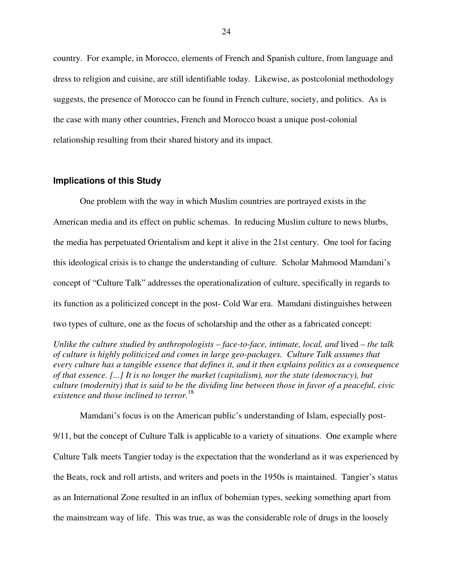country. For example, in Morocco, elements of French and Spanish culture, from language and dress to religion and cuisine, are still identifiable today. Likewise, as postcolonial methodology suggests, the presence of Morocco can be found in French culture, society, and politics. As is the case with many other countries, French and Morocco boast a unique post-colonial relationship resulting from their shared history and its impact.

#### **Implications of this Study**

One problem with the way in which Muslim countries are portrayed exists in the American media and its effect on public schemas. In reducing Muslim culture to news blurbs, the media has perpetuated Orientalism and kept it alive in the 21st century. One tool for facing this ideological crisis is to change the understanding of culture. Scholar Mahmood Mamdani's concept of "Culture Talk" addresses the operationalization of culture, specifically in regards to its function as a politicized concept in the post- Cold War era. Mamdani distinguishes between two types of culture, one as the focus of scholarship and the other as a fabricated concept:

*Unlike the culture studied by anthropologists – face-to-face, intimate, local, and lived – the talk of culture is highly politicized and comes in large geo-packages. Culture Talk assumes that every culture has a tangible essence that defines it, and it then explains politics as a consequence of that essence. [...] It is no longer the market (capitalism), nor the state (democracy), but culture (modernity) that is said to be the dividing line between those in favor of a peaceful, civic existence and those inclined to terror.*<sup>18</sup>

Mamdani's focus is on the American public's understanding of Islam, especially post-9/11, but the concept of Culture Talk is applicable to a variety of situations. One example where Culture Talk meets Tangier today is the expectation that the wonderland as it was experienced by the Beats, rock and roll artists, and writers and poets in the 1950s is maintained. Tangier's status as an International Zone resulted in an influx of bohemian types, seeking something apart from the mainstream way of life. This was true, as was the considerable role of drugs in the loosely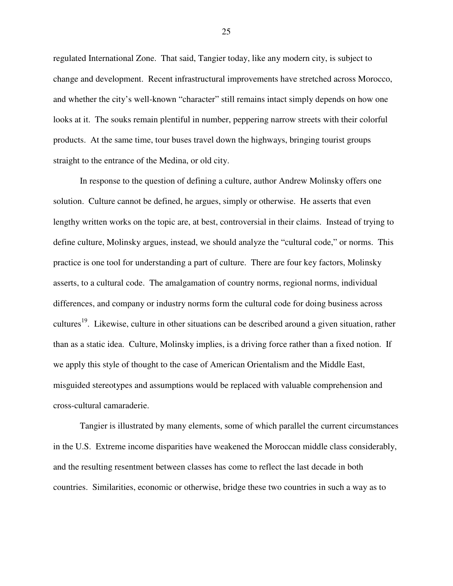regulated International Zone. That said, Tangier today, like any modern city, is subject to change and development. Recent infrastructural improvements have stretched across Morocco, and whether the city's well-known "character" still remains intact simply depends on how one looks at it. The souks remain plentiful in number, peppering narrow streets with their colorful products. At the same time, tour buses travel down the highways, bringing tourist groups straight to the entrance of the Medina, or old city.

In response to the question of defining a culture, author Andrew Molinsky offers one solution. Culture cannot be defined, he argues, simply or otherwise. He asserts that even lengthy written works on the topic are, at best, controversial in their claims. Instead of trying to define culture, Molinsky argues, instead, we should analyze the "cultural code," or norms. This practice is one tool for understanding a part of culture. There are four key factors, Molinsky asserts, to a cultural code. The amalgamation of country norms, regional norms, individual differences, and company or industry norms form the cultural code for doing business across cultures<sup>19</sup>. Likewise, culture in other situations can be described around a given situation, rather than as a static idea. Culture, Molinsky implies, is a driving force rather than a fixed notion. If we apply this style of thought to the case of American Orientalism and the Middle East, misguided stereotypes and assumptions would be replaced with valuable comprehension and cross-cultural camaraderie.

Tangier is illustrated by many elements, some of which parallel the current circumstances in the U.S. Extreme income disparities have weakened the Moroccan middle class considerably, and the resulting resentment between classes has come to reflect the last decade in both countries. Similarities, economic or otherwise, bridge these two countries in such a way as to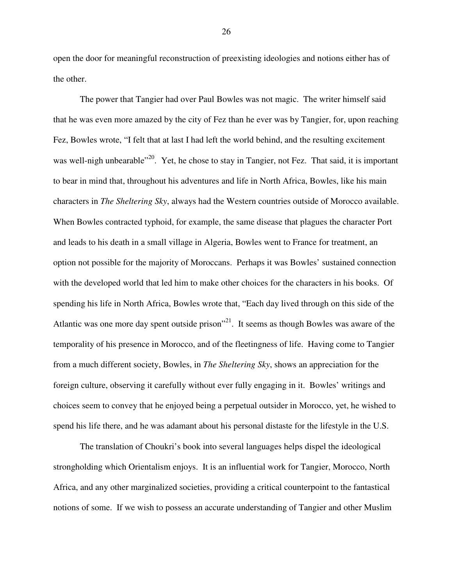open the door for meaningful reconstruction of preexisting ideologies and notions either has of the other.

The power that Tangier had over Paul Bowles was not magic. The writer himself said that he was even more amazed by the city of Fez than he ever was by Tangier, for, upon reaching Fez, Bowles wrote, "I felt that at last I had left the world behind, and the resulting excitement was well-nigh unbearable"<sup>20</sup>. Yet, he chose to stay in Tangier, not Fez. That said, it is important to bear in mind that, throughout his adventures and life in North Africa, Bowles, like his main characters in *The Sheltering Sky*, always had the Western countries outside of Morocco available. When Bowles contracted typhoid, for example, the same disease that plagues the character Port and leads to his death in a small village in Algeria, Bowles went to France for treatment, an option not possible for the majority of Moroccans. Perhaps it was Bowles' sustained connection with the developed world that led him to make other choices for the characters in his books. Of spending his life in North Africa, Bowles wrote that, "Each day lived through on this side of the Atlantic was one more day spent outside prison"<sup>21</sup>. It seems as though Bowles was aware of the temporality of his presence in Morocco, and of the fleetingness of life. Having come to Tangier from a much different society, Bowles, in *The Sheltering Sky*, shows an appreciation for the foreign culture, observing it carefully without ever fully engaging in it. Bowles' writings and choices seem to convey that he enjoyed being a perpetual outsider in Morocco, yet, he wished to spend his life there, and he was adamant about his personal distaste for the lifestyle in the U.S.

The translation of Choukri's book into several languages helps dispel the ideological strongholding which Orientalism enjoys. It is an influential work for Tangier, Morocco, North Africa, and any other marginalized societies, providing a critical counterpoint to the fantastical notions of some. If we wish to possess an accurate understanding of Tangier and other Muslim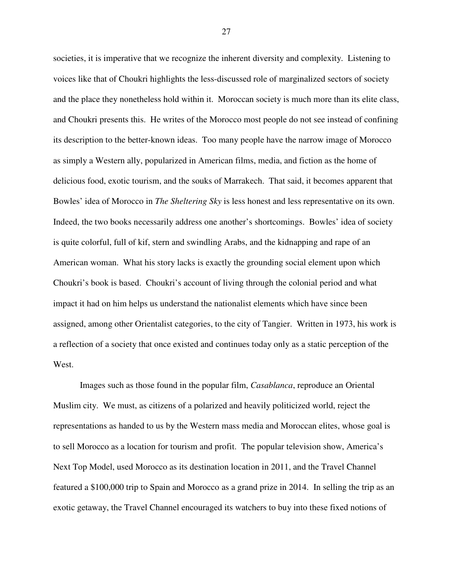societies, it is imperative that we recognize the inherent diversity and complexity. Listening to voices like that of Choukri highlights the less-discussed role of marginalized sectors of society and the place they nonetheless hold within it. Moroccan society is much more than its elite class, and Choukri presents this. He writes of the Morocco most people do not see instead of confining its description to the better-known ideas. Too many people have the narrow image of Morocco as simply a Western ally, popularized in American films, media, and fiction as the home of delicious food, exotic tourism, and the souks of Marrakech. That said, it becomes apparent that Bowles' idea of Morocco in *The Sheltering Sky* is less honest and less representative on its own. Indeed, the two books necessarily address one another's shortcomings. Bowles' idea of society is quite colorful, full of kif, stern and swindling Arabs, and the kidnapping and rape of an American woman. What his story lacks is exactly the grounding social element upon which Choukri's book is based. Choukri's account of living through the colonial period and what impact it had on him helps us understand the nationalist elements which have since been assigned, among other Orientalist categories, to the city of Tangier. Written in 1973, his work is a reflection of a society that once existed and continues today only as a static perception of the West.

Images such as those found in the popular film, *Casablanca*, reproduce an Oriental Muslim city. We must, as citizens of a polarized and heavily politicized world, reject the representations as handed to us by the Western mass media and Moroccan elites, whose goal is to sell Morocco as a location for tourism and profit. The popular television show, America's Next Top Model, used Morocco as its destination location in 2011, and the Travel Channel featured a \$100,000 trip to Spain and Morocco as a grand prize in 2014. In selling the trip as an exotic getaway, the Travel Channel encouraged its watchers to buy into these fixed notions of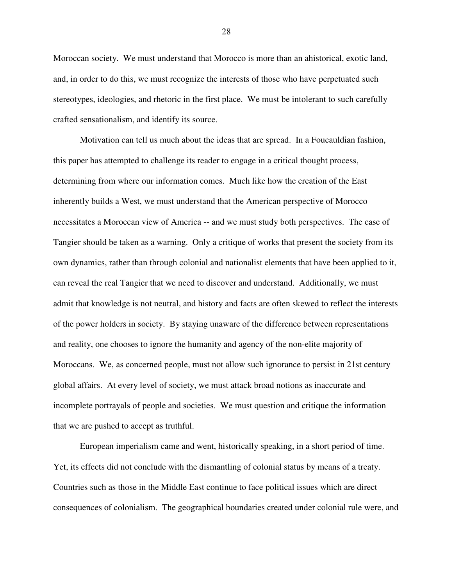Moroccan society. We must understand that Morocco is more than an ahistorical, exotic land, and, in order to do this, we must recognize the interests of those who have perpetuated such stereotypes, ideologies, and rhetoric in the first place. We must be intolerant to such carefully crafted sensationalism, and identify its source.

Motivation can tell us much about the ideas that are spread. In a Foucauldian fashion, this paper has attempted to challenge its reader to engage in a critical thought process, determining from where our information comes. Much like how the creation of the East inherently builds a West, we must understand that the American perspective of Morocco necessitates a Moroccan view of America -- and we must study both perspectives. The case of Tangier should be taken as a warning. Only a critique of works that present the society from its own dynamics, rather than through colonial and nationalist elements that have been applied to it, can reveal the real Tangier that we need to discover and understand. Additionally, we must admit that knowledge is not neutral, and history and facts are often skewed to reflect the interests of the power holders in society. By staying unaware of the difference between representations and reality, one chooses to ignore the humanity and agency of the non-elite majority of Moroccans. We, as concerned people, must not allow such ignorance to persist in 21st century global affairs. At every level of society, we must attack broad notions as inaccurate and incomplete portrayals of people and societies. We must question and critique the information that we are pushed to accept as truthful.

European imperialism came and went, historically speaking, in a short period of time. Yet, its effects did not conclude with the dismantling of colonial status by means of a treaty. Countries such as those in the Middle East continue to face political issues which are direct consequences of colonialism. The geographical boundaries created under colonial rule were, and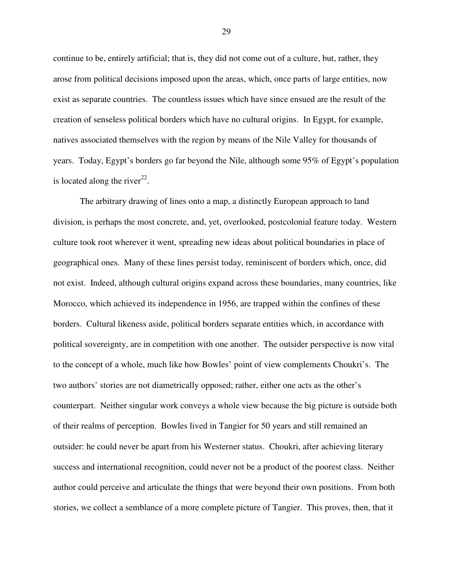continue to be, entirely artificial; that is, they did not come out of a culture, but, rather, they arose from political decisions imposed upon the areas, which, once parts of large entities, now exist as separate countries. The countless issues which have since ensued are the result of the creation of senseless political borders which have no cultural origins. In Egypt, for example, natives associated themselves with the region by means of the Nile Valley for thousands of years. Today, Egypt's borders go far beyond the Nile, although some 95% of Egypt's population is located along the river<sup>22</sup>.

The arbitrary drawing of lines onto a map, a distinctly European approach to land division, is perhaps the most concrete, and, yet, overlooked, postcolonial feature today. Western culture took root wherever it went, spreading new ideas about political boundaries in place of geographical ones. Many of these lines persist today, reminiscent of borders which, once, did not exist. Indeed, although cultural origins expand across these boundaries, many countries, like Morocco, which achieved its independence in 1956, are trapped within the confines of these borders. Cultural likeness aside, political borders separate entities which, in accordance with political sovereignty, are in competition with one another. The outsider perspective is now vital to the concept of a whole, much like how Bowles' point of view complements Choukri's. The two authors' stories are not diametrically opposed; rather, either one acts as the other's counterpart. Neither singular work conveys a whole view because the big picture is outside both of their realms of perception. Bowles lived in Tangier for 50 years and still remained an outsider: he could never be apart from his Westerner status. Choukri, after achieving literary success and international recognition, could never not be a product of the poorest class. Neither author could perceive and articulate the things that were beyond their own positions. From both stories, we collect a semblance of a more complete picture of Tangier. This proves, then, that it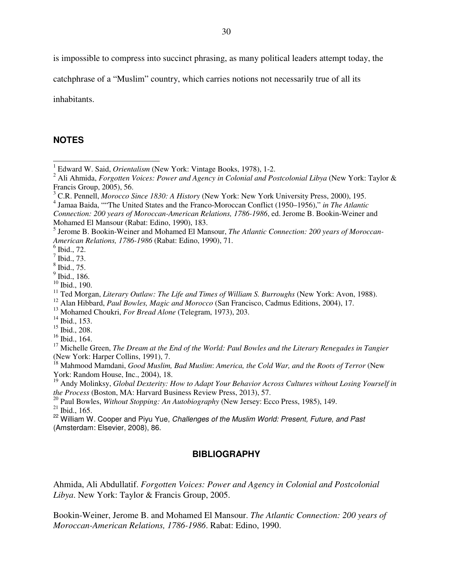is impossible to compress into succinct phrasing, as many political leaders attempt today, the

catchphrase of a "Muslim" country, which carries notions not necessarily true of all its

inhabitants.

#### **NOTES**

 $\overline{a}$ 

 $15$  Ibid., 208.

### **BIBLIOGRAPHY**

Ahmida, Ali Abdullatif. *Forgotten Voices: Power and Agency in Colonial and Postcolonial Libya*. New York: Taylor & Francis Group, 2005.

Bookin-Weiner, Jerome B. and Mohamed El Mansour. *The Atlantic Connection: 200 years of Moroccan-American Relations, 1786-1986*. Rabat: Edino, 1990.

<sup>1</sup> Edward W. Said, *Orientalism* (New York: Vintage Books, 1978), 1-2.

<sup>2</sup> Ali Ahmida, *Forgotten Voices: Power and Agency in Colonial and Postcolonial Libya* (New York: Taylor & Francis Group, 2005), 56.

<sup>3</sup> C.R. Pennell, *Morocco Since 1830: A History* (New York: New York University Press, 2000), 195.

<sup>4</sup> Jamaa Baida, ""The United States and the Franco-Moroccan Conflict (1950–1956)," *in The Atlantic* 

*Connection: 200 years of Moroccan-American Relations, 1786-1986*, ed. Jerome B. Bookin-Weiner and Mohamed El Mansour (Rabat: Edino, 1990), 183.

<sup>5</sup> Jerome B. Bookin-Weiner and Mohamed El Mansour, *The Atlantic Connection: 200 years of Moroccan-American Relations, 1786-1986* (Rabat: Edino, 1990), 71.

 $<sup>6</sup>$  Ibid., 72.</sup>

 $<sup>7</sup>$  Ibid., 73.</sup>

<sup>8</sup> Ibid., 75.

<sup>&</sup>lt;sup>9</sup> Ibid., 186.

<sup>10</sup> Ibid., 190.

<sup>&</sup>lt;sup>11</sup> Ted Morgan, *Literary Outlaw: The Life and Times of William S. Burroughs* (New York: Avon, 1988).

<sup>12</sup> Alan Hibbard, *Paul Bowles, Magic and Morocco* (San Francisco, Cadmus Editions, 2004), 17.

<sup>&</sup>lt;sup>13</sup> Mohamed Choukri, *For Bread Alone* (Telegram, 1973), 203.

 $14$  Ibid., 153.

 $16$  Ibid., 164.

<sup>&</sup>lt;sup>17</sup> Michelle Green, *The Dream at the End of the World: Paul Bowles and the Literary Renegades in Tangier* (New York: Harper Collins, 1991), 7.

<sup>18</sup> Mahmood Mamdani, *Good Muslim, Bad Muslim*: *America, the Cold War, and the Roots of Terror* (New York: Random House, Inc., 2004), 18.

<sup>19</sup> Andy Molinksy, *Global Dexterity: How to Adapt Your Behavior Across Cultures without Losing Yourself in the Process* (Boston, MA: Harvard Business Review Press, 2013), 57.

<sup>20</sup> Paul Bowles, *Without Stopping: An Autobiography* (New Jersey: Ecco Press, 1985), 149.

 $21$  Ibid., 165.

<sup>&</sup>lt;sup>22</sup> William W. Cooper and Piyu Yue, Challenges of the Muslim World: Present, Future, and Past (Amsterdam: Elsevier, 2008), 86.